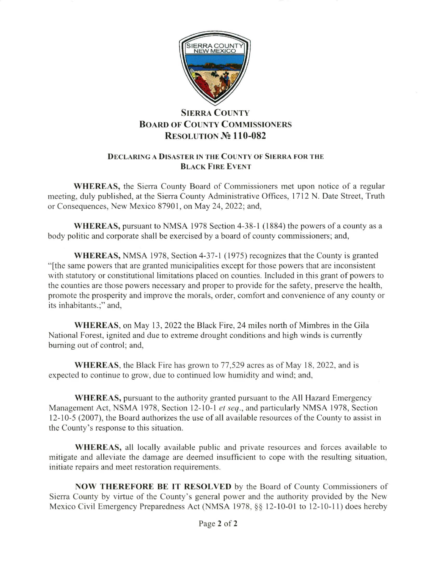

## **SIERRA COUNTY BOARD OF COUNTY COMMISSIONERS** RESOLUTION No 110-082

## DECLARING A DISASTER IN THE COUNTY OF SIERRA FOR THE BLACK FIRE EvENT

WHEREAS, the Sierra County Board of Commissioners met upon notice of a regular meeting, duly published, at the Sierra County Administrative Offices, l7 l2 N. Date Street, Truth or Consequences, New Mexico 87901, on May 24, 2022; and,

WHEREAS, pursuant to NMSA 1978 Section 4-38-l ( 1884) the powers of a county as a body politic and corporate shall be exercised by a board of county commissioners; and,

WHEREAS, NMSA 1978, Section 4-37-l (1975) recognizes that the County is granted "[the same powers that are granted municipalities except for those powers that are inconsistent with statutory or constitutional limitations placed on counties. Included in this grant of powers to the counties are those powers necessary and proper to provide for the safety, preserve the health, promote the prosperity and improve the morals, order, comfort and convenience of any county or its inhabitants.;" and,

WHEREAS, on May 13, 2022 the Black Fire,24 miles north of Mimbres in the Gila National Forest, ignited and due to extreme drought conditions and high winds is currently buming out of control; and,

WHEREAS, the Black Fire has grown to 77,529 acres as of May 18, 2022, and is expected to continue to grow, due to continued low humidiry and wind; and,

WHEREAS, pursuant to the authority granted pursuant to the All Hazard Emergency Management Act, NSMA 1978, Section 12-10-1 et seq., and particularly NMSA 1978, Section 12-10-5 (2007), the Board authorizes the use ofall available resources of the County to assist in the County's response to this situation.

WHEREAS, all locally available public and private resources and forces available to mitigate and alleviate the damage are deemed insufficient to cope with the resulting situation, initiate repairs and meet restoration requirements.

NOW THEREFORE BE IT RESOLVED by the Board of County Commissioners of Sierra County by virtue of the County's general power and the authority provided by the New Mexico Civil Emergency Preparedness Act (NMSA 1978, §§ 12-10-01 to 12-10-11) does hereby